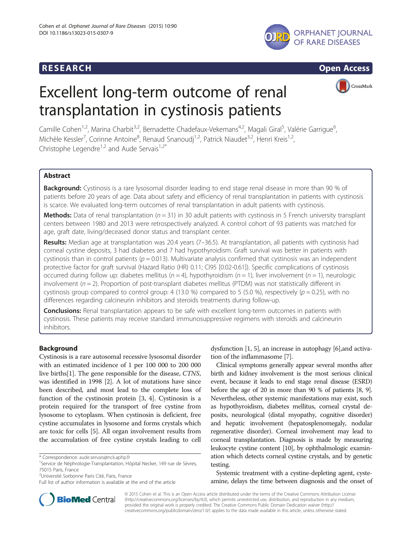## **RESEARCH CHINESEARCH CHINESEARCH CHINESE**





# Excellent long-term outcome of renal transplantation in cystinosis patients



Camille Cohen<sup>1,2</sup>, Marina Charbit<sup>3,2</sup>, Bernadette Chadefaux-Vekemans<sup>4,2</sup>, Magali Giral<sup>5</sup>, Valérie Garrigue<sup>6</sup> , Michèle Kessler<sup>7</sup>, Corinne Antoine<sup>8</sup>, Renaud Snanoudj<sup>1,2</sup>, Patrick Niaudet<sup>3,2</sup>, Henri Kreis<sup>1,2</sup>, Christophe Legendre<sup>1,2</sup> and Aude Servais<sup>1,2\*</sup>

### Abstract

**Background:** Cystinosis is a rare lysosomal disorder leading to end stage renal disease in more than 90 % of patients before 20 years of age. Data about safety and efficiency of renal transplantation in patients with cystinosis is scarce. We evaluated long-term outcomes of renal transplantation in adult patients with cystinosis.

**Methods:** Data of renal transplantation ( $n = 31$ ) in 30 adult patients with cystinosis in 5 French university transplant centers between 1980 and 2013 were retrospectively analyzed. A control cohort of 93 patients was matched for age, graft date, living/deceased donor status and transplant center.

Results: Median age at transplantation was 20.4 years (7–36.5). At transplantation, all patients with cystinosis had corneal cystine deposits, 3 had diabetes and 7 had hypothyroidism. Graft survival was better in patients with cystinosis than in control patients ( $p = 0.013$ ). Multivariate analysis confirmed that cystinosis was an independent protective factor for graft survival (Hazard Ratio (HR) 0.11; CI95 [0.02-0.61]). Specific complications of cystinosis occurred during follow up: diabetes mellitus ( $n = 4$ ), hypothyroidism ( $n = 1$ ), liver involvement ( $n = 1$ ), neurologic involvement ( $n = 2$ ). Proportion of post-transplant diabetes mellitus (PTDM) was not statistically different in cystinosis group compared to control group: 4 (13.0 %) compared to 5 (5.0 %), respectively ( $p = 0.25$ ), with no differences regarding calcineurin inhibitors and steroids treatments during follow-up.

**Conclusions:** Renal transplantation appears to be safe with excellent long-term outcomes in patients with cystinosis. These patients may receive standard immunosuppressive regimens with steroids and calcineurin inhibitors.

#### Background

Cystinosis is a rare autosomal recessive lysosomal disorder with an estimated incidence of 1 per 100 000 to 200 000 live births[\[1](#page-7-0)]. The gene responsible for the disease, CTNS, was identified in 1998 [\[2](#page-7-0)]. A lot of mutations have since been described, and most lead to the complete loss of function of the cystinosin protein [\[3, 4](#page-7-0)]. Cystinosin is a protein required for the transport of free cystine from lysosome to cytoplasm. When cystinosin is deficient, free cystine accumulates in lysosome and forms crystals which are toxic for cells [[5\]](#page-7-0). All organ involvement results from the accumulation of free cystine crystals leading to cell

\* Correspondence: [aude.servais@nck.aphp.fr](mailto:aude.servais@nck.aphp.fr) <sup>1</sup>

<sup>2</sup>Université Sorbonne Paris Cité, Paris, France

dysfunction [\[1](#page-7-0), [5\]](#page-7-0), an increase in autophagy [[6](#page-7-0)],and activation of the inflammasome [[7\]](#page-7-0).

Clinical symptoms generally appear several months after birth and kidney involvement is the most serious clinical event, because it leads to end stage renal disease (ESRD) before the age of 20 in more than 90 % of patients [\[8](#page-7-0), [9](#page-7-0)]. Nevertheless, other systemic manifestations may exist, such as hypothyroidism, diabetes mellitus, corneal crystal deposits, neurological (distal myopathy, cognitive disorder) and hepatic involvement (hepatosplenomegaly, nodular regenerative disorder). Corneal involvement may lead to corneal transplantation. Diagnosis is made by measuring leukocyte cystine content [[10](#page-7-0)], by ophthalmologic examination which detects corneal cystine crystals, and by genetic testing.

Systemic treatment with a cystine-depleting agent, cysteamine, delays the time between diagnosis and the onset of



© 2015 Cohen et al. This is an Open Access article distributed under the terms of the Creative Commons Attribution License [\(http://creativecommons.org/licenses/by/4.0\)](http://creativecommons.org/licenses/by/4.0), which permits unrestricted use, distribution, and reproduction in any medium, provided the original work is properly credited. The Creative Commons Public Domain Dedication waiver [\(http://](http://creativecommons.org/publicdomain/zero/1.0/) [creativecommons.org/publicdomain/zero/1.0/\)](http://creativecommons.org/publicdomain/zero/1.0/) applies to the data made available in this article, unless otherwise stated.

<sup>&</sup>lt;sup>1</sup>Service de Néphrologie-Transplantation, Hôpital Necker, 149 rue de Sèvres, 75015 Paris, France

Full list of author information is available at the end of the article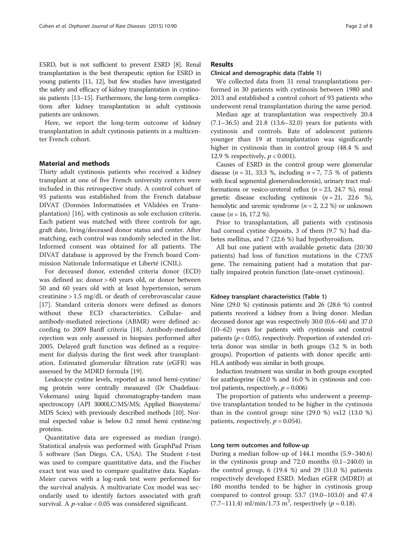ESRD, but is not sufficient to prevent ESRD [[8](#page-7-0)]. Renal transplantation is the best therapeutic option for ESRD in young patients [[11](#page-7-0), [12\]](#page-7-0), but few studies have investigated the safety and efficacy of kidney transplantation in cystinosis patients [\[13](#page-7-0)–[15\]](#page-7-0). Furthermore, the long-term complications after kidney transplantation in adult cystinosis patients are unknown.

Here, we report the long-term outcome of kidney transplantation in adult cystinosis patients in a multicenter French cohort.

#### Material and methods

Thirty adult cystinosis patients who received a kidney transplant at one of five French university centers were included in this retrospective study. A control cohort of 93 patients was established from the French database DIVAT (Données Informatisées et VAlidées en Transplantation) [\[16](#page-7-0)], with cystinosis as sole exclusion criteria. Each patient was matched with three controls for age, graft date, living/deceased donor status and center. After matching, each control was randomly selected in the list. Informed consent was obtained for all patients. The DIVAT database is approved by the French board Commission Nationale Informatique et Liberté (CNIL).

For deceased donor, extended criteria donor (ECD) was defined as: donor > 60 years old, or donor between 50 and 60 years old with at least hypertension, serum creatinine > 1.5 mg/dL or death of cerebrovascular cause [[17\]](#page-7-0). Standard criteria donors were defined as donors without these ECD characteristics. Cellular- and antibody-mediated rejections (ABMR) were defined according to 2009 Banff criteria [[18\]](#page-7-0). Antibody-mediated rejection was only assessed in biopsies performed after 2005. Delayed graft function was defined as a requirement for dialysis during the first week after transplantation. Estimated glomerular filtration rate (eGFR) was assessed by the MDRD formula [\[19\]](#page-7-0).

Leukocyte cystine levels, reported as nmol hemi-cystine/ mg protein were centrally measured (Dr Chadefaux-Vekemans) using liquid chromatography-tandem mass spectroscopy (API 3000LC/MS/MS; Applied Biosystems/ MDS Sciex) with previously described methods [\[10\]](#page-7-0). Normal expected value is below 0.2 nmol hemi cystine/mg proteins.

Quantitative data are expressed as median (range). Statistical analysis was performed with GraphPad Prism 5 software (San Diego, CA, USA). The Student  $t$ -test was used to compare quantitative data, and the Fischer exact test was used to compare qualitative data. Kaplan-Meier curves with a log-rank test were performed for the survival analysis. A multivariate Cox model was secondarily used to identify factors associated with graft survival. A  $p$ -value < 0.05 was considered significant.

#### Results

#### Clinical and demographic data (Table [1](#page-2-0))

We collected data from 31 renal transplantations performed in 30 patients with cystinosis between 1980 and 2013 and established a control cohort of 93 patients who underwent renal transplantation during the same period.

Median age at transplantation was respectively 20.4 (7.1–36.5) and 21.8 (13.6–32.0) years for patients with cystinosis and controls. Rate of adolescent patients younger than 19 at transplantation was significantly higher in cystinosis than in control group (48.4 % and 12.9 % respectively,  $p < 0.001$ ).

Causes of ESRD in the control group were glomerular disease ( $n = 31$ , 33.3 %, including  $n = 7, 7.5$  % of patients with focal segmental glomerulosclerosis), urinary tract malformations or vesico-ureteral reflux ( $n = 23, 24.7$  %), renal genetic disease excluding cystinosis  $(n = 21, 22.6 \%)$ , hemolytic and uremic syndrome ( $n = 2, 2.2$  %) or unknown cause ( $n = 16, 17.2 %$ ).

Prior to transplantation, all patients with cystinosis had corneal cystine deposits, 3 of them (9.7 %) had diabetes mellitus, and 7 (22.6 %) had hypothyroidism.

All but one patient with available genetic data (20/30 patients) had loss of function mutations in the CTNS gene. The remaining patient had a mutation that partially impaired protein function (late-onset cystinosis).

#### Kidney transplant characteristics (Table [1\)](#page-2-0)

Nine (29.0 %) cystinosis patients and 26 (28.6 %) control patients received a kidney from a living donor. Median deceased donor age was respectively 30.0 (0.6–64) and 37.0 (10–62) years for patients with cystinosis and control patients ( $p < 0.05$ ), respectively. Proportion of extended criteria donor was similar in both groups (3.2 % in both groups). Proportion of patients with donor specific anti-HLA antibody was similar in both groups.

Induction treatment was similar in both groups excepted for azathioprine (42.0 % and 16.0 % in cystinosis and control patients, respectively,  $p = 0.006$ )

The proportion of patients who underwent a preemptive transplantation tended to be higher in the cystinosis than in the control group: nine  $(29.0 %)$  vs12  $(13.0 %)$ patients, respectively,  $p = 0.054$ ).

#### Long term outcomes and follow-up

During a median follow-up of 144.1 months (5.9–340.6) in the cystinosis group and 72.0 months (0.1–240.0) in the control group, 6 (19.4 %) and 29 (31.0 %) patients respectively developed ESRD. Median eGFR (MDRD) at 180 months tended to be higher in cystinosis group compared to control group: 53.7 (19.0–103.0) and 47.4  $(7.7–111.4)$  ml/min/1.73 m<sup>2</sup>, respectively ( $p = 0.18$ ).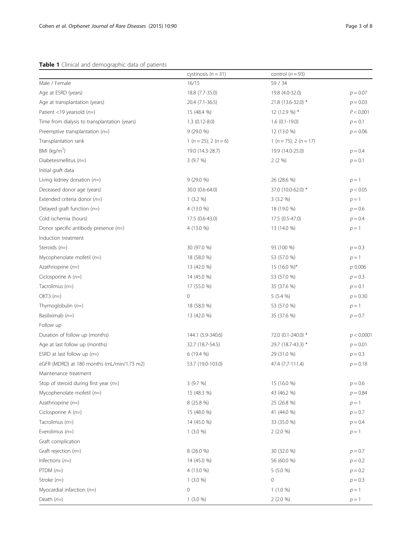#### <span id="page-2-0"></span>Table 1 Clinical and demographic data of patients

|                                               | cystinosis ( $n = 31$ )       | control ( $n = 93$ )           |            |  |
|-----------------------------------------------|-------------------------------|--------------------------------|------------|--|
| Male / Female                                 | 16/15                         | 59 / 34                        |            |  |
| Age at ESRD (years)                           | 18.8 (7.7-35.0)               | 19.8 (4.0-32.0)                | $p = 0.07$ |  |
| Age at transplantation (years)                | 20.4 (7.1-36.5)               | 21.8 (13.6-32.0) *             | $p = 0.03$ |  |
| Patient <19 yearsold $(n=)$                   | 15 (48.4 %)                   | 12 (12.9 %) *                  | P < 0.001  |  |
| Time from dialysis to transplantation (years) | $1.3(0.12-8.0)$               | $1.6(0.1-19.0)$                | $p = 0.1$  |  |
| Preemptive transplantation $(n=)$             | $9(29.0\%)$                   | 12 (13.0 %)                    | $p = 0.06$ |  |
| Transplantation rank                          | 1 ( $n = 25$ ); 2 ( $n = 6$ ) | 1 ( $n = 75$ ); 2 ( $n = 17$ ) |            |  |
| BMI ( $kg/m2$ )                               | 19.0 (14.3-28.7)              | 19.9 (14.0-25.0)               | $p = 0.4$  |  |
| Diabetesmellitus $(n=)$                       | 3(9.7%)                       | 2(2%)                          | $p = 0.1$  |  |
| Initial graft data                            |                               |                                |            |  |
| Living kidney donation $(n=)$                 | $9(29.0\%)$                   | 26 (28.6 %)                    | $p=1$      |  |
| Deceased donor age (years)                    | 30.0 (0.6-64.0)               | 37.0 (10.0-62.0) *             | p < 0.05   |  |
| Extended criteria donor $(n=)$                | $1(3.2\%)$                    | 3(3.2%)                        | $p=1$      |  |
| Delayed graft function $(n=)$                 | 4 (13.0 %)                    | 18 (19.0 %)                    | $p = 0.6$  |  |
| Cold ischemia (hours)                         | 17.5 (0.6-43.0)               | 17.5 (0.5-47.0)                | $p = 0.4$  |  |
| Donor specific antibody presence $(n=)$       | 4 (13.0 %)                    | 13 (14.0 %)                    | $p=1$      |  |
| Induction treatment                           |                               |                                |            |  |
| Steroids $(n=)$                               | 30 (97.0 %)                   | 93 (100 %)                     | $p = 0.3$  |  |
| Mycophenolate mofetil $(n=)$                  | 18 (58.0 %)                   | 53 (57.0 %)                    | $p=1$      |  |
| Azathrioprine $(n=)$                          | 13 (42.0 %)                   | 15 (16.0 %)*                   | p 0.006    |  |
| Ciclosporine A $(n=)$                         | 14 (45.0 %)                   | 53 (57.0 %)                    | $p = 0.3$  |  |
| Tacrolimus $(n=)$                             | 17 (55.0 %)                   | 35 (37.6 %)                    | $p = 0.1$  |  |
| OKT3 $(n=)$                                   | 0                             | 5(5.4%                         | $p = 0.30$ |  |
| Thymoglobulin $(n=)$                          | 18 (58.0 %)                   | 53 (57.0 %)                    | $p=1$      |  |
| Basiliximab $(n=)$                            | 13 (42.0 %)                   | 35 (37.6 %)                    | $p = 0.7$  |  |
| Follow up                                     |                               |                                |            |  |
| Duration of follow up (months)                | 144.1 (5.9-340.6)             | 72.0 (0.1-240.0) *             | p < 0.0001 |  |
| Age at last follow up (months)                | 32.7 (18.7-54.5)              | 29.7 (18.7-43.3) *             | $p = 0.01$ |  |
| ESRD at last follow up $(n=)$                 | $6(19.4\%)$                   | 29 (31.0 %)                    | $p = 0.3$  |  |
| eGFR (MDRD) at 180 months (mL/min/1.73 m2)    | 53.7 (19.0-103.0)             | 47.4 (7.7-111.4)               | $p = 0.18$ |  |
| Maintenance treatment                         |                               |                                |            |  |
| Stop of steroid during first year $(n=)$      | 3(9.7%)                       | 15 (16.0 %)                    | $p = 0.6$  |  |
| Mycophenolate mofetil $(n=)$                  | 15 (48.3 %)                   | 43 (46.2 %)                    | $p = 0.84$ |  |
| Azathrioprine $(n=)$                          | 8 (25.8 %)                    | 25 (26.8 %)                    | $p=1$      |  |
| Ciclosporine A $(n=)$                         | 15 (48.0 %)                   | 41 (44.0 %)                    | $p = 0.7$  |  |
| Tacrolimus $(n=)$                             | 14 (45.0 %)                   | 33 (35.0 %)                    | $p = 0.4$  |  |
| Everolimus $(n=)$                             | 1(3.0%                        | 2(2.0%)                        | $p=1$      |  |
| Graft complication                            |                               |                                |            |  |
| Graft rejection $(n=)$                        | 8 (26.0 %)                    | 30 (32.0 %)                    | $p = 0.7$  |  |
| Infections $(n=)$                             | 14 (45.0 %)                   | 56 (60.0 %)                    | $p = 0.2$  |  |
| $PTDM(n=)$                                    | 4 (13.0 %)                    | 5(5.0%                         | $p = 0.2$  |  |
| Stroke $(n=)$                                 | 1(3.0%                        | 0                              | $p = 0.3$  |  |
| Myocardial infarction $(n=)$                  | 0                             | $1(1.0\%)$                     | $p=1$      |  |
| Death $(n=)$                                  | 1(3.0%                        | 2(2.0%)                        | $p=1$      |  |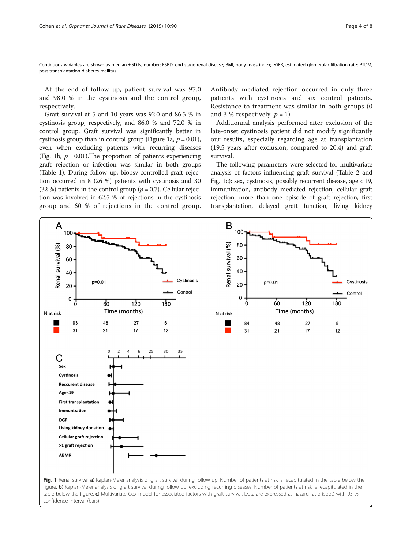Continuous variables are shown as median ± SD.N, number; ESRD, end stage renal disease; BMI, body mass index; eGFR, estimated glomerular filtration rate; PTDM, post transplantation diabetes mellitus

At the end of follow up, patient survival was 97.0 and 98.0 % in the cystinosis and the control group, respectively.

Graft survival at 5 and 10 years was 92.0 and 86.5 % in cystinosis group, respectively, and 86.0 % and 72.0 % in control group. Graft survival was significantly better in cystinosis group than in control group (Figure 1a,  $p = 0.01$ ), even when excluding patients with recurring diseases (Fig. 1b,  $p = 0.01$ ). The proportion of patients experiencing graft rejection or infection was similar in both groups (Table [1\)](#page-2-0). During follow up, biopsy-controlled graft rejection occurred in 8 (26 %) patients with cystinosis and 30 (32 %) patients in the control group ( $p = 0.7$ ). Cellular rejection was involved in 62.5 % of rejections in the cystinosis group and 60 % of rejections in the control group. Antibody mediated rejection occurred in only three patients with cystinosis and six control patients. Resistance to treatment was similar in both groups (0 and 3 % respectively,  $p = 1$ ).

Additionnal analysis performed after exclusion of the late-onset cystinosis patient did not modify significantly our results, especially regarding age at transplantation (19.5 years after exclusion, compared to 20.4) and graft survival.

The following parameters were selected for multivariate analysis of factors influencing graft survival (Table [2](#page-4-0) and Fig. 1c): sex, cystinosis, possibly recurrent disease, age < 19, immunization, antibody mediated rejection, cellular graft rejection, more than one episode of graft rejection, first transplantation, delayed graft function, living kidney

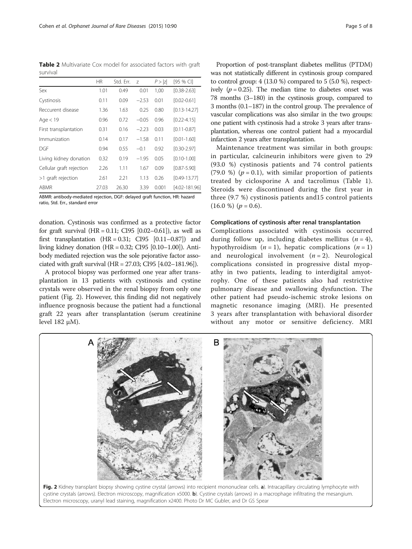<span id="page-4-0"></span>Table 2 Multivariate Cox model for associated factors with graft survival

|                          | <b>HR</b> | Std. Err. | Z       | P >  z | [95 % CI]         |
|--------------------------|-----------|-----------|---------|--------|-------------------|
| Sex                      | 1.01      | 0.49      | 0.01    | 1,00   | $[0.38 - 2.63]$   |
| Cystinosis               | 0.11      | 0.09      | $-2.53$ | 0.01   | $[0.02 - 0.61]$   |
| Reccurent disease        | 1.36      | 1.63      | 0.25    | 0.80   | $[0.13 - 14.27]$  |
| Age $<$ 19               | 0.96      | 0.72      | $-0.05$ | 0.96   | $[0.22 - 4.15]$   |
| First transplantation    | 0.31      | 0.16      | $-2.23$ | 0.03   | $[0.11 - 0.87]$   |
| Immunization             | 0.14      | 0.17      | $-1.58$ | 0.11   | $[0.01 - 1.60]$   |
| DGF                      | 0.94      | 0.55      | $-0.1$  | 0.92   | $[0.30 - 2.97]$   |
| Living kidney donation   | 0.32      | 0.19      | $-1.95$ | 0.05   | $[0.10 - 1.00]$   |
| Cellular graft rejection | 2.26      | 1.11      | 1.67    | 0.09   | $[0.87 - 5.90]$   |
| >1 graft rejection       | 2.61      | 2.21      | 1.13    | 0.26   | $[0.49 - 13.77]$  |
| ABMR                     | 27.03     | 26.30     | 3.39    | 0.001  | $[4.02 - 181.96]$ |

ABMR: antibody-mediated rejection, DGF: delayed graft function, HR: hazard ratio, Std. Err., standard error

donation. Cystinosis was confirmed as a protective factor for graft survival  $(HR = 0.11; CI95 [0.02 - 0.61])$ , as well as first transplantation  $(HR = 0.31; CI95 [0.11-0.87])$  and living kidney donation (HR = 0.32; CI95 [0.10–1.00]). Antibody mediated rejection was the sole pejorative factor associated with graft survival (HR = 27.03; CI95 [4.02–181.96]).

A protocol biopsy was performed one year after transplantation in 13 patients with cystinosis and cystine crystals were observed in the renal biopsy from only one patient (Fig. 2). However, this finding did not negatively influence prognosis because the patient had a functional graft 22 years after transplantation (serum creatinine level 182 μM).

Proportion of post-transplant diabetes mellitus (PTDM) was not statistically different in cystinosis group compared to control group: 4 (13.0 %) compared to 5 (5.0 %), respectively ( $p = 0.25$ ). The median time to diabetes onset was 78 months (3–180) in the cystinosis group, compared to 3 months (0.1–187) in the control group. The prevalence of vascular complications was also similar in the two groups: one patient with cystinosis had a stroke 3 years after transplantation, whereas one control patient had a myocardial infarction 2 years after transplantation.

Maintenance treatment was similar in both groups: in particular, calcineurin inhibitors were given to 29 (93.0 %) cystinosis patients and 74 control patients (79.0 %) ( $p = 0.1$ ), with similar proportion of patients treated by ciclosporine A and tacrolimus (Table [1](#page-2-0)). Steroids were discontinued during the first year in three (9.7 %) cystinosis patients and15 control patients  $(16.0 %)$   $(p = 0.6)$ .

#### Complications of cystinosis after renal transplantation

Complications associated with cystinosis occurred during follow up, including diabetes mellitus  $(n = 4)$ , hypothyroidism  $(n = 1)$ , hepatic complications  $(n = 1)$ and neurological involvement  $(n = 2)$ . Neurological complications consisted in progressive distal myopathy in two patients, leading to interdigital amyotrophy. One of these patients also had restrictive pulmonary disease and swallowing dysfunction. The other patient had pseudo-ischemic stroke lesions on magnetic resonance imaging (MRI). He presented 3 years after transplantation with behavioral disorder without any motor or sensitive deficiency. MRI



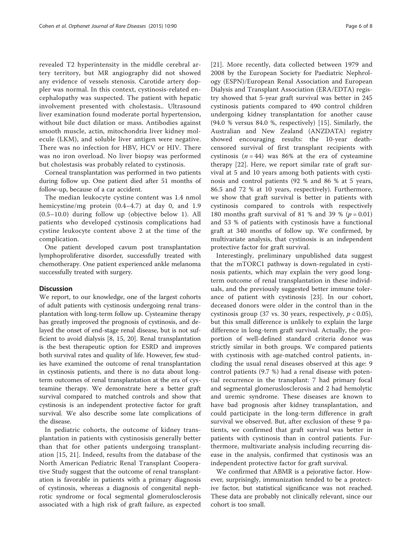revealed T2 hyperintensity in the middle cerebral artery territory, but MR angiography did not showed any evidence of vessels stenosis. Carotide artery doppler was normal. In this context, cystinosis-related encephalopathy was suspected. The patient with hepatic involvement presented with cholestasis.. Ultrasound liver examination found moderate portal hypertension, without bile duct dilation or mass. Antibodies against smooth muscle, actin, mitochondria liver kidney molecule (LKM), and soluble liver antigen were negative. There was no infection for HBV, HCV or HIV. There was no iron overload. No liver biopsy was performed but cholestasis was probably related to cystinosis.

Corneal transplantation was performed in two patients during follow up. One patient died after 51 months of follow-up, because of a car accident.

The median leukocyte cystine content was 1.4 nmol hemicystine/mg protein (0.4–4.7) at day 0, and 1.9 (0.5–10.0) during follow up (objective below 1). All patients who developed cystinosis complications had cystine leukocyte content above 2 at the time of the complication.

One patient developed cavum post transplantation lymphoproliferative disorder, successfully treated with chemotherapy. One patient experienced ankle melanoma successfully treated with surgery.

#### **Discussion**

We report, to our knowledge, one of the largest cohorts of adult patients with cystinosis undergoing renal transplantation with long-term follow up. Cysteamine therapy has greatly improved the prognosis of cystinosis, and delayed the onset of end-stage renal disease, but is not sufficient to avoid dialysis [\[8, 15](#page-7-0), [20\]](#page-7-0). Renal transplantation is the best therapeutic option for ESRD and improves both survival rates and quality of life. However, few studies have examined the outcome of renal transplantation in cystinosis patients, and there is no data about longterm outcomes of renal transplantation at the era of cysteamine therapy. We demonstrate here a better graft survival compared to matched controls and show that cystinosis is an independent protective factor for graft survival. We also describe some late complications of the disease.

In pediatric cohorts, the outcome of kidney transplantation in patients with cystinosisis generally better than that for other patients undergoing transplantation [[15](#page-7-0), [21\]](#page-7-0). Indeed, results from the database of the North American Pediatric Renal Transplant Cooperative Study suggest that the outcome of renal transplantation is favorable in patients with a primary diagnosis of cystinosis, whereas a diagnosis of congenital nephrotic syndrome or focal segmental glomerulosclerosis associated with a high risk of graft failure, as expected

[[21\]](#page-7-0). More recently, data collected between 1979 and 2008 by the European Society for Paediatric Nephrology (ESPN)/European Renal Association and European Dialysis and Transplant Association (ERA/EDTA) registry showed that 5-year graft survival was better in 245 cystinosis patients compared to 490 control children undergoing kidney transplantation for another cause (94.0 % versus 84.0 %, respectively) [\[15](#page-7-0)]. Similarly, the Australian and New Zealand (ANZDATA) registry showed encouraging results: the 10-year deathcensored survival of first transplant recipients with cystinosis  $(n = 44)$  was 86% at the era of cysteamine therapy [\[22](#page-7-0)]. Here, we report similar rate of graft survival at 5 and 10 years among both patients with cystinosis and control patients (92 % and 86 % at 5 years, 86.5 and 72 % at 10 years, respectively). Furthermore, we show that graft survival is better in patients with cystinosis compared to controls with respectively 180 months graft survival of 81 % and 39 % ( $p = 0.01$ ) and 53 % of patients with cystinosis have a functional graft at 340 months of follow up. We confirmed, by multivariate analysis, that cystinosis is an independent protective factor for graft survival.

Interestingly, preliminary unpublished data suggest that the mTORC1 pathway is down-regulated in cystinosis patients, which may explain the very good longterm outcome of renal transplantation in these individuals, and the previously suggested better immune tolerance of patient with cystinosis [\[23](#page-7-0)]. In our cohort, deceased donors were older in the control than in the cystinosis group (37 vs. 30 years, respectively,  $p < 0.05$ ), but this small difference is unlikely to explain the large difference in long-term graft survival. Actually, the proportion of well-defined standard criteria donor was strictly similar in both groups. We compared patients with cystinosis with age-matched control patients, including the usual renal diseases observed at this age: 9 control patients (9.7 %) had a renal disease with potential recurrence in the transplant: 7 had primary focal and segmental glomeruslosclerosis and 2 had hemolytic and uremic syndrome. These diseases are known to have bad prognosis after kidney transplantation, and could participate in the long-term difference in graft survival we observed. But, after exclusion of these 9 patients, we confirmed that graft survival was better in patients with cystinosis than in control patients. Furthermore, multivariate analysis including recurring disease in the analysis, confirmed that cystinosis was an independent protective factor for graft survival.

We confirmed that ABMR is a pejorative factor. However, surprisingly, immunization tended to be a protective factor, but statistical significance was not reached. These data are probably not clinically relevant, since our cohort is too small.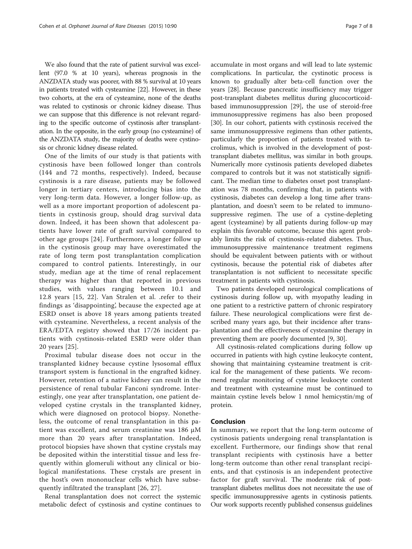We also found that the rate of patient survival was excellent (97.0 % at 10 years), whereas prognosis in the ANZDATA study was poorer, with 88 % survival at 10 years in patients treated with cysteamine [\[22](#page-7-0)]. However, in these two cohorts, at the era of cysteamine, none of the deaths was related to cystinosis or chronic kidney disease. Thus we can suppose that this difference is not relevant regarding to the specific outcome of cystinosis after transplantation. In the opposite, in the early group (no cysteamine) of the ANZDATA study, the majority of deaths were cystinosis or chronic kidney disease related.

One of the limits of our study is that patients with cystinosis have been followed longer than controls (144 and 72 months, respectively). Indeed, because cystinosis is a rare disease, patients may be followed longer in tertiary centers, introducing bias into the very long-term data. However, a longer follow-up, as well as a more important proportion of adolescent patients in cystinosis group, should drag survival data down. Indeed, it has been shown that adolescent patients have lower rate of graft survival compared to other age groups [[24\]](#page-7-0). Furthermore, a longer follow up in the cystinosis group may have overestimated the rate of long term post transplantation complication compared to control patients. Interestingly, in our study, median age at the time of renal replacement therapy was higher than that reported in previous studies, with values ranging between 10.1 and 12.8 years [[15](#page-7-0), [22](#page-7-0)]. Van Stralen et al. .refer to their findings as 'disappointing', because the expected age at ESRD onset is above 18 years among patients treated with cysteamine. Nevertheless, a recent analysis of the ERA/EDTA registry showed that 17/26 incident patients with cystinosis-related ESRD were older than 20 years [[25\]](#page-7-0).

Proximal tubular disease does not occur in the transplanted kidney because cystine lysosomal efflux transport system is functional in the engrafted kidney. However, retention of a native kidney can result in the persistence of renal tubular Fanconi syndrome. Interestingly, one year after transplantation, one patient developed cystine crystals in the transplanted kidney, which were diagnosed on protocol biopsy. Nonetheless, the outcome of renal transplantation in this patient was excellent, and serum creatinine was 186 μM more than 20 years after transplantation. Indeed, protocol biopsies have shown that cystine crystals may be deposited within the interstitial tissue and less frequently within glomeruli without any clinical or biological manifestations. These crystals are present in the host's own mononuclear cells which have subsequently infiltrated the transplant [\[26](#page-7-0), [27\]](#page-7-0).

Renal transplantation does not correct the systemic metabolic defect of cystinosis and cystine continues to

accumulate in most organs and will lead to late systemic complications. In particular, the cystinotic process is known to gradually alter beta-cell function over the years [[28\]](#page-7-0). Because pancreatic insufficiency may trigger post-transplant diabetes mellitus during glucocorticoidbased immunosuppression [\[29](#page-7-0)], the use of steroid-free immunosuppressive regimens has also been proposed [[30\]](#page-7-0). In our cohort, patients with cystinosis received the same immunosuppressive regimens than other patients, particularly the proportion of patients treated with tacrolimus, which is involved in the development of posttransplant diabetes mellitus, was similar in both groups. Numerically more cystinosis patients developed diabetes compared to controls but it was not statistically significant. The median time to diabetes onset post transplantation was 78 months, confirming that, in patients with cystinosis, diabetes can develop a long time after transplantation, and doesn't seem to be related to immunosuppressive regimen. The use of a cystine-depleting agent (cysteamine) by all patients during follow-up may explain this favorable outcome, because this agent probably limits the risk of cystinosis-related diabetes. Thus, immunosuppressive maintenance treatment regimens should be equivalent between patients with or without cystinosis, because the potential risk of diabetes after transplantation is not sufficient to necessitate specific treatment in patients with cystinosis.

Two patients developed neurological complications of cystinosis during follow up, with myopathy leading in one patient to a restrictive pattern of chronic respiratory failure. These neurological complications were first described many years ago, but their incidence after transplantation and the effectiveness of cysteamine therapy in preventing them are poorly documented [[9](#page-7-0), [30](#page-7-0)].

All cystinosis-related complications during follow up occurred in patients with high cystine leukocyte content, showing that maintaining cysteamine treatment is critical for the management of these patients. We recommend regular monitoring of cysteine leukocyte content and treatment with cysteamine must be continued to maintain cystine levels below 1 nmol hemicystin/mg of protein.

#### Conclusion

In summary, we report that the long-term outcome of cystinosis patients undergoing renal transplantation is excellent. Furthermore, our findings show that renal transplant recipients with cystinosis have a better long-term outcome than other renal transplant recipients, and that cystinosis is an independent protective factor for graft survival. The moderate risk of posttransplant diabetes mellitus does not necessitate the use of specific immunosuppressive agents in cystinosis patients. Our work supports recently published consensus guidelines